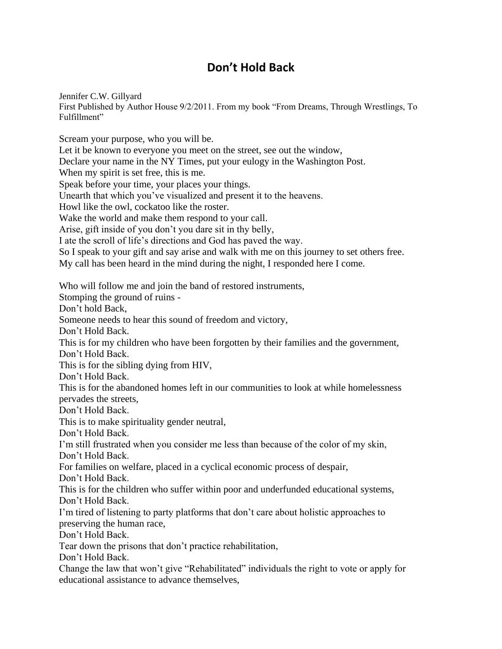## **Don't Hold Back**

Jennifer C.W. Gillyard First Published by Author House 9/2/2011. From my book "From Dreams, Through Wrestlings, To Fulfillment"

Scream your purpose, who you will be.

Let it be known to everyone you meet on the street, see out the window,

Declare your name in the NY Times, put your eulogy in the Washington Post.

When my spirit is set free, this is me.

Speak before your time, your places your things.

Unearth that which you've visualized and present it to the heavens.

Howl like the owl, cockatoo like the roster.

Wake the world and make them respond to your call.

Arise, gift inside of you don't you dare sit in thy belly,

I ate the scroll of life's directions and God has paved the way.

So I speak to your gift and say arise and walk with me on this journey to set others free.

My call has been heard in the mind during the night, I responded here I come.

Who will follow me and join the band of restored instruments,

Stomping the ground of ruins -

Don't hold Back,

Someone needs to hear this sound of freedom and victory,

Don't Hold Back.

This is for my children who have been forgotten by their families and the government, Don't Hold Back.

This is for the sibling dying from HIV,

Don't Hold Back.

This is for the abandoned homes left in our communities to look at while homelessness pervades the streets,

Don't Hold Back.

This is to make spirituality gender neutral,

Don't Hold Back.

I'm still frustrated when you consider me less than because of the color of my skin, Don't Hold Back.

For families on welfare, placed in a cyclical economic process of despair,

Don't Hold Back.

This is for the children who suffer within poor and underfunded educational systems, Don't Hold Back.

I'm tired of listening to party platforms that don't care about holistic approaches to preserving the human race,

Don't Hold Back.

Tear down the prisons that don't practice rehabilitation,

Don't Hold Back.

Change the law that won't give "Rehabilitated" individuals the right to vote or apply for educational assistance to advance themselves,